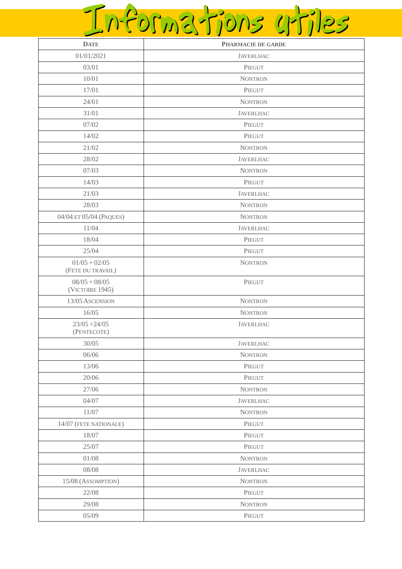## Informations uriles

| <b>DATE</b>                          | PHARMACIE DE GARDE |
|--------------------------------------|--------------------|
| 01/01/2021                           | <b>JAVERLHAC</b>   |
| 03/01                                | PIEGUT             |
| 10/01                                | <b>NONTRON</b>     |
| 17/01                                | PIEGUT             |
| 24/01                                | <b>NONTRON</b>     |
| 31/01                                | <b>JAVERLHAC</b>   |
| 07/02                                | PIEGUT             |
| 14/02                                | PIEGUT             |
| 21/02                                | <b>NONTRON</b>     |
| 28/02                                | <b>JAVERLHAC</b>   |
| 07/03                                | <b>NONTRON</b>     |
| 14/03                                | PIEGUT             |
| 21/03                                | <b>JAVERLHAC</b>   |
| 28/03                                | <b>NONTRON</b>     |
| 04/04 ET 05/04 (PAQUES)              | <b>NONTRON</b>     |
| 11/04                                | <b>JAVERLHAC</b>   |
| 18/04                                | PIEGUT             |
| 25/04                                | PIEGUT             |
| $01/05 + 02/05$<br>(FETE DU TRAVAIL) | <b>NONTRON</b>     |
| $08/05 + 08/05$<br>(VICTOIRE 1945)   | PIEGUT             |
| 13/05 ASCENSION                      | <b>NONTRON</b>     |
| 16/05                                | <b>NONTRON</b>     |
| $23/05 + 24/05$<br>(PENTECOTE)       | <b>JAVERLHAC</b>   |
| 30/05                                | <b>JAVERLHAC</b>   |
| 06/06                                | <b>NONTRON</b>     |
| 13/06                                | PIEGUT             |
| 20/06                                | PIEGUT             |
| 27/06                                | <b>NONTRON</b>     |
| 04/07                                | <b>JAVERLHAC</b>   |
| $11/07\,$                            | <b>NONTRON</b>     |
| 14/07 (FETE NATIONALE)               | PIEGUT             |
| 18/07                                | PIEGUT             |
| 25/07                                | PIEGUT             |
| 01/08                                | <b>NONTRON</b>     |
| 08/08                                | <b>JAVERLHAC</b>   |
| 15/08 (ASSOMPTION)                   | <b>NONTRON</b>     |
| 22/08                                | PIEGUT             |
| 29/08                                | <b>NONTRON</b>     |
| 05/09                                | PIEGUT             |